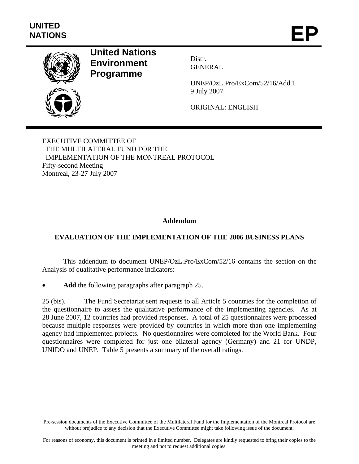

# **United Nations Environment Programme**

Distr. GENERAL

UNEP/OzL.Pro/ExCom/52/16/Add.1 9 July 2007

ORIGINAL: ENGLISH

EXECUTIVE COMMITTEE OF THE MULTILATERAL FUND FOR THE IMPLEMENTATION OF THE MONTREAL PROTOCOL Fifty-second Meeting Montreal, 23-27 July 2007

#### **Addendum**

## **EVALUATION OF THE IMPLEMENTATION OF THE 2006 BUSINESS PLANS**

This addendum to document UNEP/OzL.Pro/ExCom/52/16 contains the section on the Analysis of qualitative performance indicators:

Add the following paragraphs after paragraph 25.

25 (bis). The Fund Secretariat sent requests to all Article 5 countries for the completion of the questionnaire to assess the qualitative performance of the implementing agencies. As at 28 June 2007, 12 countries had provided responses. A total of 25 questionnaires were processed because multiple responses were provided by countries in which more than one implementing agency had implemented projects. No questionnaires were completed for the World Bank. Four questionnaires were completed for just one bilateral agency (Germany) and 21 for UNDP, UNIDO and UNEP. Table 5 presents a summary of the overall ratings.

Pre-session documents of the Executive Committee of the Multilateral Fund for the Implementation of the Montreal Protocol are without prejudice to any decision that the Executive Committee might take following issue of the document.

For reasons of economy, this document is printed in a limited number. Delegates are kindly requested to bring their copies to the meeting and not to request additional copies.